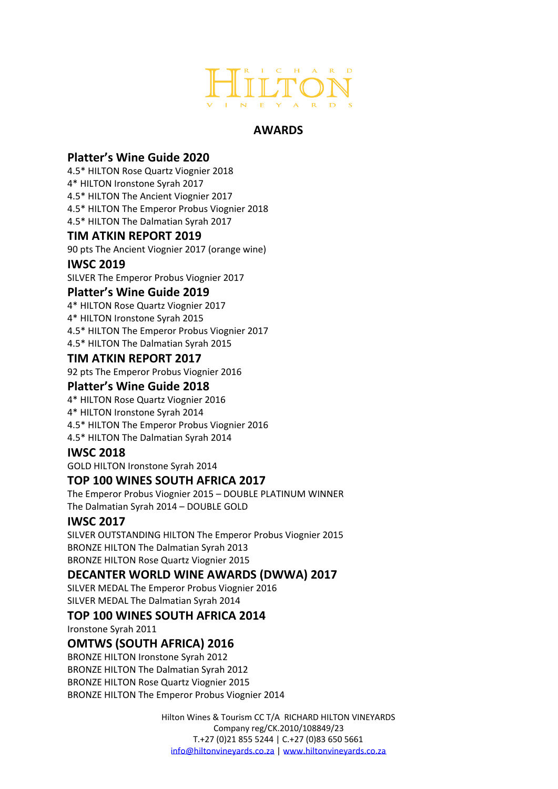

# **AWARDS**

# **Platter's Wine Guide 2020**

4.5\* HILTON Rose Quartz Viognier 2018 4\* HILTON Ironstone Syrah 2017 4.5\* HILTON The Ancient Viognier 2017 4.5\* HILTON The Emperor Probus Viognier 2018 4.5\* HILTON The Dalmatian Syrah 2017

### **TIM ATKIN REPORT 2019**

90 pts The Ancient Viognier 2017 (orange wine)

### **IWSC 2019**

SILVER The Emperor Probus Viognier 2017

### **Platter's Wine Guide 2019**

4\* HILTON Rose Quartz Viognier 2017 4\* HILTON Ironstone Syrah 2015 4.5\* HILTON The Emperor Probus Viognier 2017 4.5\* HILTON The Dalmatian Syrah 2015

### **TIM ATKIN REPORT 2017**

92 pts The Emperor Probus Viognier 2016

### **Platter's Wine Guide 2018**

4\* HILTON Rose Quartz Viognier 2016 4\* HILTON Ironstone Syrah 2014 4.5\* HILTON The Emperor Probus Viognier 2016 4.5\* HILTON The Dalmatian Syrah 2014

# **IWSC 2018**

GOLD HILTON Ironstone Syrah 2014

### **TOP 100 WINES SOUTH AFRICA 2017**

The Emperor Probus Viognier 2015 – DOUBLE PLATINUM WINNER The Dalmatian Syrah 2014 – DOUBLE GOLD

# **IWSC 2017**

SILVER OUTSTANDING HILTON The Emperor Probus Viognier 2015 BRONZE HILTON The Dalmatian Syrah 2013 BRONZE HILTON Rose Quartz Viognier 2015

# **DECANTER WORLD WINE AWARDS (DWWA) 2017**

SILVER MEDAL The Emperor Probus Viognier 2016 SILVER MEDAL The Dalmatian Syrah 2014

# **TOP 100 WINES SOUTH AFRICA 2014**

Ironstone Syrah 2011

# **OMTWS (SOUTH AFRICA) 2016**

BRONZE HILTON Ironstone Syrah 2012 BRONZE HILTON The Dalmatian Syrah 2012 BRONZE HILTON Rose Quartz Viognier 2015 BRONZE HILTON The Emperor Probus Viognier 2014

> Hilton Wines & Tourism CC T/A RICHARD HILTON VINEYARDS Company reg/CK.2010/108849/23 T.+27 (0)21 855 5244 | C.+27 (0)83 650 5661 [info@hiltonvineyards.co.za](mailto:info@hiltonvineyards.co.za) | [www.hiltonvineyards.co.za](http://www.hiltonvineyards.co.za/)